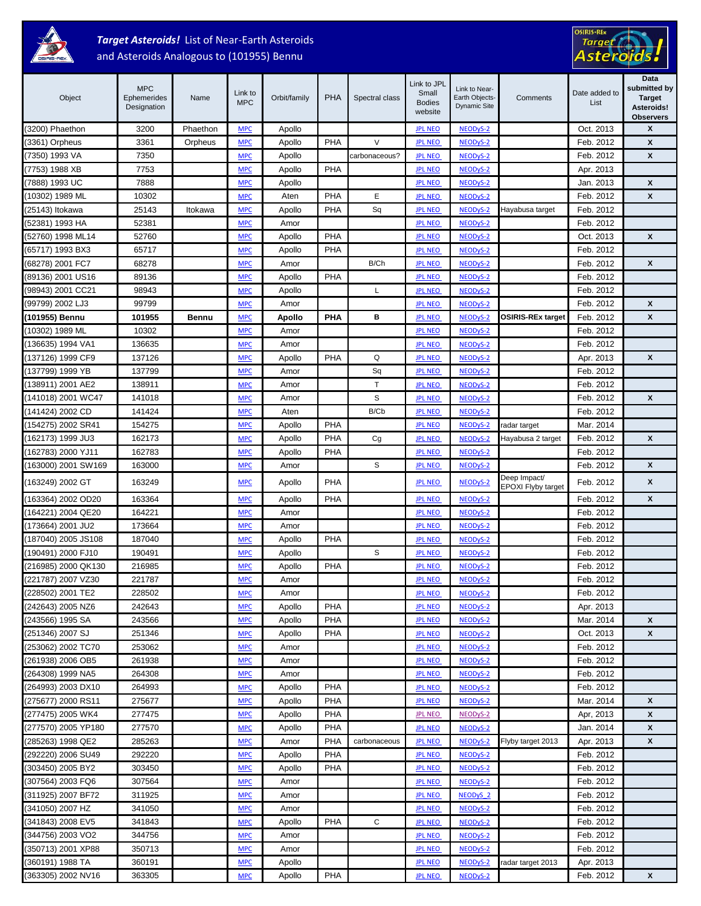

# *Target Asteroids!* List of Near-Earth Asteroids

#### and Asteroids Analogous to (101955) Bennu



| Object              | <b>MPC</b><br>Ephemerides<br>Designation | Name         | Link to<br><b>MPC</b>    | Orbit/family  | <b>PHA</b> | Spectral class | Link to JPL<br>Small<br><b>Bodies</b><br>website | Link to Near-<br>Earth Objects-<br><b>Dynamic Site</b> | Comments                           | Date added to<br>List | Data<br>submitted by<br><b>Target</b><br>Asteroids!<br><b>Observers</b> |
|---------------------|------------------------------------------|--------------|--------------------------|---------------|------------|----------------|--------------------------------------------------|--------------------------------------------------------|------------------------------------|-----------------------|-------------------------------------------------------------------------|
| (3200) Phaethon     | 3200                                     | Phaethon     | <b>MPC</b>               | Apollo        |            |                | <b>JPL NEO</b>                                   | NEODyS-2                                               |                                    | Oct. 2013             | X                                                                       |
| (3361) Orpheus      | 3361                                     | Orpheus      | <b>MPC</b>               | Apollo        | <b>PHA</b> | $\vee$         | <b>JPL NEO</b>                                   | NEODyS-2                                               |                                    | Feb. 2012             | X                                                                       |
| (7350) 1993 VA      | 7350                                     |              | <b>MPC</b>               | Apollo        |            | carbonaceous?  | <b>JPL NEO</b>                                   | NEODyS-2                                               |                                    | Feb. 2012             | X                                                                       |
| (7753) 1988 XB      | 7753                                     |              | <b>MPC</b>               | Apollo        | <b>PHA</b> |                | <b>JPL NEO</b>                                   | NEODyS-2                                               |                                    | Apr. 2013             |                                                                         |
| (7888) 1993 UC      | 7888                                     |              | <b>MPC</b>               | Apollo        |            |                | <b>JPL NEO</b>                                   | NEODyS-2                                               |                                    | Jan. 2013             | X                                                                       |
| (10302) 1989 ML     | 10302                                    |              | <b>MPC</b>               | Aten          | PHA        | E              | <b>JPL NEO</b>                                   | NEODyS-2                                               |                                    | Feb. 2012             | X                                                                       |
| (25143) Itokawa     | 25143                                    | Itokawa      | <b>MPC</b>               | Apollo        | <b>PHA</b> | Sq             | <b>JPL NEO</b>                                   | NEODyS-2                                               | Hayabusa target                    | Feb. 2012             |                                                                         |
| (52381) 1993 HA     | 52381                                    |              | <b>MPC</b>               | Amor          |            |                | <b>JPL NEO</b>                                   | NEODyS-2                                               |                                    | Feb. 2012             |                                                                         |
| (52760) 1998 ML14   | 52760                                    |              | <b>MPC</b>               | Apollo        | <b>PHA</b> |                | <b>JPL NEO</b>                                   | NEODyS-2                                               |                                    | Oct. 2013             | X                                                                       |
| (65717) 1993 BX3    | 65717                                    |              | <b>MPC</b>               | Apollo        | <b>PHA</b> |                | <b>JPL NEO</b>                                   | NEODyS-2                                               |                                    | Feb. 2012             |                                                                         |
| (68278) 2001 FC7    | 68278                                    |              | <b>MPC</b>               | Amor          |            | B/Ch           | <b>JPL NEO</b>                                   | NEODyS-2                                               |                                    | Feb. 2012             | X                                                                       |
| (89136) 2001 US16   | 89136                                    |              | <b>MPC</b>               | Apollo        | <b>PHA</b> |                | <b>JPL NEO</b>                                   | NEODyS-2                                               |                                    | Feb. 2012             |                                                                         |
| (98943) 2001 CC21   | 98943                                    |              | <b>MPC</b>               | Apollo        |            | L              | <b>JPL NEO</b>                                   | NEODyS-2                                               |                                    | Feb. 2012             |                                                                         |
| (99799) 2002 LJ3    | 99799                                    |              | <b>MPC</b>               | Amor          |            |                | <b>JPL NEO</b>                                   | NEODyS-2                                               |                                    | Feb. 2012             | X                                                                       |
| (101955) Bennu      | 101955                                   | <b>Bennu</b> | <b>MPC</b>               | <b>Apollo</b> | <b>PHA</b> | в              | <b>JPL NEO</b>                                   | NEODyS-2                                               | <b>OSIRIS-REx target</b>           | Feb. 2012             | X                                                                       |
| (10302) 1989 ML     | 10302                                    |              | <b>MPC</b>               | Amor          |            |                | <b>JPL NEO</b>                                   | NEODyS-2                                               |                                    | Feb. 2012             |                                                                         |
| (136635) 1994 VA1   | 136635                                   |              | <b>MPC</b>               | Amor          |            |                | <b>JPL NEO</b>                                   | NEODyS-2                                               |                                    | Feb. 2012             |                                                                         |
| (137126) 1999 CF9   | 137126                                   |              | <b>MPC</b>               | Apollo        | PHA        | Q              | <b>JPL NEO</b>                                   | NEODyS-2                                               |                                    | Apr. 2013             | X                                                                       |
| (137799) 1999 YB    | 137799                                   |              | <b>MPC</b>               | Amor          |            | Sq             | <b>JPL NEO</b>                                   | NEODyS-2                                               |                                    | Feb. 2012             |                                                                         |
| (138911) 2001 AE2   | 138911                                   |              | <b>MPC</b>               | Amor          |            | T              | <b>JPL NEO</b>                                   | NEODyS-2                                               |                                    | Feb. 2012             |                                                                         |
| (141018) 2001 WC47  | 141018                                   |              | <b>MPC</b>               | Amor          |            | S              | <b>JPL NEO</b>                                   | NEODyS-2                                               |                                    | Feb. 2012             | X                                                                       |
| (141424) 2002 CD    | 141424                                   |              | <b>MPC</b>               | Aten          |            | B/Cb           | <b>JPL NEO</b>                                   | NEODyS-2                                               |                                    | Feb. 2012             |                                                                         |
| (154275) 2002 SR41  | 154275                                   |              | <b>MPC</b>               | Apollo        | <b>PHA</b> |                | <b>JPL NEO</b>                                   | NEODyS-2                                               | radar target                       | Mar. 2014             |                                                                         |
| (162173) 1999 JU3   | 162173                                   |              | <b>MPC</b>               | Apollo        | PHA        | Cg             | <b>JPL NEO</b>                                   | NEODyS-2                                               | Hayabusa 2 target                  | Feb. 2012             | X                                                                       |
| (162783) 2000 YJ11  | 162783                                   |              | <b>MPC</b>               | Apollo        | PHA        |                | <b>JPL NEO</b>                                   | NEODyS-2                                               |                                    | Feb. 2012             |                                                                         |
| (163000) 2001 SW169 | 163000                                   |              | <b>MPC</b>               | Amor          |            | $\mathbb S$    | <b>JPL NEO</b>                                   | NEODyS-2                                               |                                    | Feb. 2012             | X                                                                       |
| (163249) 2002 GT    | 163249                                   |              | <b>MPC</b>               | Apollo        | <b>PHA</b> |                | <b>JPL NEO</b>                                   | NEODyS-2                                               | Deep Impact/<br>EPOXI Flyby target | Feb. 2012             | X                                                                       |
| (163364) 2002 OD20  | 163364                                   |              | <b>MPC</b>               | Apollo        | <b>PHA</b> |                | <b>JPL NEO</b>                                   | NEODyS-2                                               |                                    | Feb. 2012             | X                                                                       |
| (164221) 2004 QE20  | 164221                                   |              | <b>MPC</b>               | Amor          |            |                | <b>JPL NEO</b>                                   | NEODyS-2                                               |                                    | Feb. 2012             |                                                                         |
| (173664) 2001 JU2   | 173664                                   |              | <b>MPC</b>               | Amor          |            |                | <b>JPL NEO</b>                                   | NEODyS-2                                               |                                    | Feb. 2012             |                                                                         |
| (187040) 2005 JS108 | 187040                                   |              | <b>MPC</b>               | Apollo        | <b>PHA</b> |                | <b>JPL NEO</b>                                   | NEODyS-2                                               |                                    | Feb. 2012             |                                                                         |
| (190491) 2000 FJ10  | 190491                                   |              | <b>MPC</b>               | Apollo        |            | S              | <b>JPL NEO</b>                                   | NEODyS-2                                               |                                    | Feb. 2012             |                                                                         |
| (216985) 2000 QK130 | 216985                                   |              | <b>MPC</b>               | Apollo        | <b>PHA</b> |                | <b>JPL NEO</b>                                   | NEODyS-2                                               |                                    | Feb. 2012             |                                                                         |
| (221787) 2007 VZ30  | 221787                                   |              | <b>MPC</b>               | Amor          |            |                | <b>JPL NEO</b>                                   | NEODyS-2                                               |                                    | Feb. 2012             |                                                                         |
| (228502) 2001 TE2   | 228502                                   |              | <b>MPC</b>               | Amor          |            |                | <b>JPL NEO</b>                                   | NEODyS-2                                               |                                    | Feb. 2012             |                                                                         |
| (242643) 2005 NZ6   | 242643                                   |              | <b>MPC</b>               | Apollo        | <b>PHA</b> |                | <b>JPL NEO</b>                                   | NEODyS-2                                               |                                    | Apr. 2013             |                                                                         |
| (243566) 1995 SA    | 243566                                   |              | <b>MPC</b>               | Apollo        | PHA        |                | <b>JPL NEO</b>                                   | NEODyS-2                                               |                                    | Mar. 2014             | X                                                                       |
| (251346) 2007 SJ    | 251346                                   |              | <b>MPC</b>               | Apollo        | <b>PHA</b> |                | <b>JPL NEO</b>                                   | NEODyS-2                                               |                                    | Oct. 2013             | X                                                                       |
| (253062) 2002 TC70  | 253062                                   |              | <b>MPC</b>               | Amor          |            |                | <b>JPL NEO</b>                                   | NEOD <sub>vS</sub> -2                                  |                                    | Feb. 2012             |                                                                         |
| (261938) 2006 OB5   | 261938                                   |              | <b>MPC</b>               | Amor          |            |                | <b>JPL NEO</b>                                   | NEODyS-2                                               |                                    | Feb. 2012             |                                                                         |
| (264308) 1999 NA5   | 264308                                   |              | <b>MPC</b>               | Amor          |            |                | <b>JPL NEO</b>                                   | NEODyS-2                                               |                                    | Feb. 2012             |                                                                         |
| (264993) 2003 DX10  | 264993                                   |              | <b>MPC</b>               | Apollo        | <b>PHA</b> |                | <b>JPL NEO</b>                                   | NEODyS-2                                               |                                    | Feb. 2012             |                                                                         |
| (275677) 2000 RS11  | 275677                                   |              | <b>MPC</b>               | Apollo        | <b>PHA</b> |                | <b>JPL NEO</b>                                   | NEODyS-2                                               |                                    | Mar. 2014             | X                                                                       |
| (277475) 2005 WK4   | 277475                                   |              | <b>MPC</b>               | Apollo        | <b>PHA</b> |                | <b>JPL NEO</b>                                   | NEODyS-2                                               |                                    | Apr, 2013             | X                                                                       |
| (277570) 2005 YP180 | 277570                                   |              | $MPC$                    | Apollo        | <b>PHA</b> |                | <b>JPL NEO</b>                                   | NEODyS-2                                               |                                    | Jan. 2014             | X                                                                       |
| (285263) 1998 QE2   | 285263                                   |              | <b>MPC</b>               | Amor          | <b>PHA</b> | carbonaceous   | <b>JPL NEO</b>                                   | NEODyS-2                                               | Flyby target 2013                  | Apr. 2013             | X                                                                       |
| (292220) 2006 SU49  | 292220                                   |              | <b>MPC</b>               | Apollo        | <b>PHA</b> |                | <b>JPL NEO</b>                                   | NEODyS-2                                               |                                    | Feb. 2012             |                                                                         |
| (303450) 2005 BY2   | 303450                                   |              | <b>MPC</b>               | Apollo        | PHA        |                | <b>JPL NEO</b>                                   | NEODyS-2                                               |                                    | Feb. 2012             |                                                                         |
| (307564) 2003 FQ6   | 307564                                   |              | <b>MPC</b>               | Amor          |            |                | <b>JPL NEO</b>                                   | NEODyS-2                                               |                                    | Feb. 2012             |                                                                         |
| (311925) 2007 BF72  | 311925                                   |              | <b>MPC</b>               | Amor          |            |                | <b>JPL NEO</b>                                   | NEODyS <sub>2</sub>                                    |                                    | Feb. 2012             |                                                                         |
| (341050) 2007 HZ    | 341050                                   |              | <b>MPC</b>               | Amor          |            |                | <b>JPL NEO</b>                                   | NEODyS-2                                               |                                    | Feb. 2012             |                                                                         |
| (341843) 2008 EV5   | 341843                                   |              | <b>MPC</b>               | Apollo        | <b>PHA</b> | C              | <b>JPL NEO</b>                                   | NEODyS-2                                               |                                    | Feb. 2012             |                                                                         |
| (344756) 2003 VO2   | 344756                                   |              | <b>MPC</b>               | Amor          |            |                | <b>JPL NEO</b>                                   | NEODyS-2                                               |                                    | Feb. 2012             |                                                                         |
| (350713) 2001 XP88  | 350713                                   |              | <b>MPC</b>               | Amor          |            |                | <b>JPL NEO</b>                                   | NEODyS-2                                               |                                    | Feb. 2012             |                                                                         |
| (360191) 1988 TA    | 360191                                   |              | <b>MPC</b><br><b>MPC</b> | Apollo        | PHA        |                | <b>JPL NEO</b>                                   | NEODyS-2                                               | radar target 2013                  | Apr. 2013             | $\boldsymbol{x}$                                                        |
| (363305) 2002 NV16  | 363305                                   |              |                          | Apollo        |            |                | <b>JPL NEO</b>                                   | NEODyS-2                                               |                                    | Feb. 2012             |                                                                         |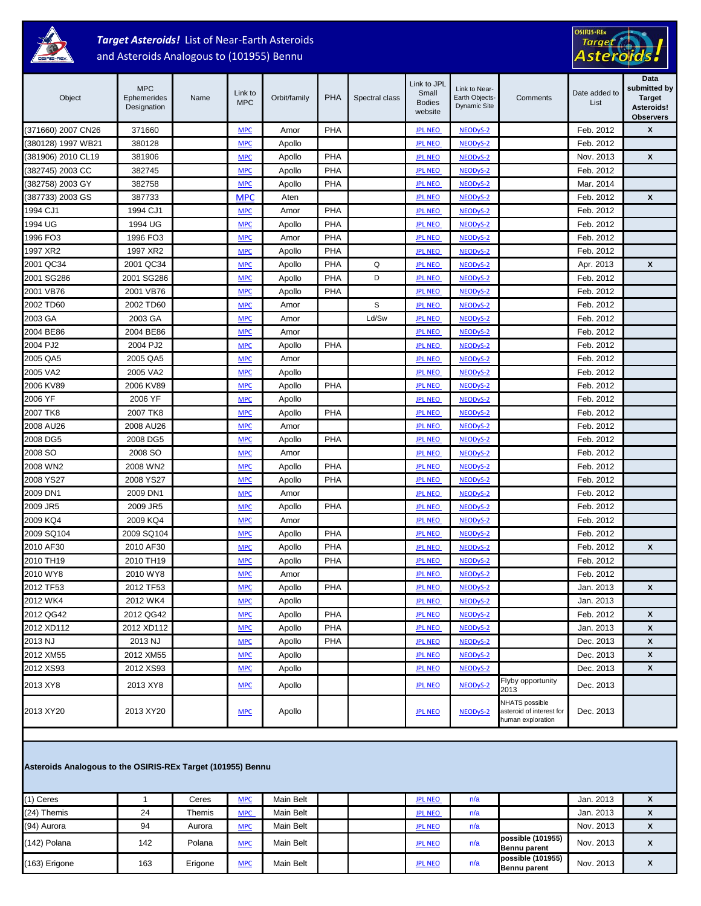

## *Target Asteroids!* List of Near-Earth Asteroids and Asteroids Analogous to (101955) Bennu

# OSIRIS-REX<br>Target<br>Asteroids

| Object             | <b>MPC</b><br>Ephemerides<br>Designation | Name | Link to<br><b>MPC</b> | Orbit/family | <b>PHA</b> | Spectral class | Link to JPL<br>Small<br><b>Bodies</b><br>website | Link to Near-<br>Earth Objects-<br><b>Dynamic Site</b> | Comments                                                               | Date added to<br>List | Data<br>submitted by<br><b>Target</b><br>Asteroids!<br><b>Observers</b> |
|--------------------|------------------------------------------|------|-----------------------|--------------|------------|----------------|--------------------------------------------------|--------------------------------------------------------|------------------------------------------------------------------------|-----------------------|-------------------------------------------------------------------------|
| (371660) 2007 CN26 | 371660                                   |      | <b>MPC</b>            | Amor         | PHA        |                | <b>JPL NEO</b>                                   | NEODyS-2                                               |                                                                        | Feb. 2012             | X                                                                       |
| (380128) 1997 WB21 | 380128                                   |      | <b>MPC</b>            | Apollo       |            |                | <b>JPL NEO</b>                                   | NEODyS-2                                               |                                                                        | Feb. 2012             |                                                                         |
| (381906) 2010 CL19 | 381906                                   |      | <b>MPC</b>            | Apollo       | PHA        |                | <b>JPL NEO</b>                                   | NEODyS-2                                               |                                                                        | Nov. 2013             | X                                                                       |
| (382745) 2003 CC   | 382745                                   |      | <b>MPC</b>            | Apollo       | <b>PHA</b> |                | <b>JPL NEO</b>                                   | NEODyS-2                                               |                                                                        | Feb. 2012             |                                                                         |
| (382758) 2003 GY   | 382758                                   |      | <b>MPC</b>            | Apollo       | <b>PHA</b> |                | <b>JPL NEO</b>                                   | NEODyS-2                                               |                                                                        | Mar. 2014             |                                                                         |
| (387733) 2003 GS   | 387733                                   |      | <b>MPC</b>            | Aten         |            |                | <b>JPL NEO</b>                                   | NEODyS-2                                               |                                                                        | Feb. 2012             | X                                                                       |
| 1994 CJ1           | 1994 CJ1                                 |      | <b>MPC</b>            | Amor         | <b>PHA</b> |                | <b>JPL NEO</b>                                   | NEODyS-2                                               |                                                                        | Feb. 2012             |                                                                         |
| 1994 UG            | 1994 UG                                  |      | <b>MPC</b>            | Apollo       | <b>PHA</b> |                | <b>JPL NEO</b>                                   | NEODyS-2                                               |                                                                        | Feb. 2012             |                                                                         |
| 1996 FO3           | 1996 FO3                                 |      | <b>MPC</b>            | Amor         | <b>PHA</b> |                | <b>JPL NEO</b>                                   | NEODyS-2                                               |                                                                        | Feb. 2012             |                                                                         |
| 1997 XR2           | 1997 XR2                                 |      | <b>MPC</b>            | Apollo       | PHA        |                | <b>JPL NEO</b>                                   | NEODyS-2                                               |                                                                        | Feb. 2012             |                                                                         |
| 2001 QC34          | 2001 QC34                                |      | <b>MPC</b>            | Apollo       | <b>PHA</b> | Q              | <b>JPL NEO</b>                                   | NEODyS-2                                               |                                                                        | Apr. 2013             | X                                                                       |
| 2001 SG286         | 2001 SG286                               |      | <b>MPC</b>            | Apollo       | PHA        | D              | <b>JPL NEO</b>                                   | NEODyS-2                                               |                                                                        | Feb. 2012             |                                                                         |
| 2001 VB76          | 2001 VB76                                |      | <b>MPC</b>            | Apollo       | PHA        |                | <b>JPL NEO</b>                                   | NEODyS-2                                               |                                                                        | Feb. 2012             |                                                                         |
| 2002 TD60          | 2002 TD60                                |      | <b>MPC</b>            | Amor         |            | S              | <b>JPL NEO</b>                                   | NEODyS-2                                               |                                                                        | Feb. 2012             |                                                                         |
| 2003 GA            | 2003 GA                                  |      | <b>MPC</b>            | Amor         |            | Ld/Sw          | <b>JPL NEO</b>                                   | NEODyS-2                                               |                                                                        | Feb. 2012             |                                                                         |
| 2004 BE86          | 2004 BE86                                |      | <b>MPC</b>            | Amor         |            |                | <b>JPL NEO</b>                                   | NEODyS-2                                               |                                                                        | Feb. 2012             |                                                                         |
| 2004 PJ2           | 2004 PJ2                                 |      | <b>MPC</b>            | Apollo       | PHA        |                | <b>JPL NEO</b>                                   | NEODyS-2                                               |                                                                        | Feb. 2012             |                                                                         |
| 2005 QA5           | 2005 QA5                                 |      | <b>MPC</b>            | Amor         |            |                | <b>JPL NEO</b>                                   | NEODyS-2                                               |                                                                        | Feb. 2012             |                                                                         |
| 2005 VA2           | 2005 VA2                                 |      | <b>MPC</b>            | Apollo       |            |                | <b>JPL NEO</b>                                   | NEODyS-2                                               |                                                                        | Feb. 2012             |                                                                         |
| 2006 KV89          | 2006 KV89                                |      | <b>MPC</b>            | Apollo       | PHA        |                | <b>JPL NEO</b>                                   | NEODyS-2                                               |                                                                        | Feb. 2012             |                                                                         |
| 2006 YF            | 2006 YF                                  |      | <b>MPC</b>            | Apollo       |            |                | <b>JPL NEO</b>                                   | NEODyS-2                                               |                                                                        | Feb. 2012             |                                                                         |
| 2007 TK8           | 2007 TK8                                 |      | <b>MPC</b>            | Apollo       | <b>PHA</b> |                | <b>JPL NEO</b>                                   | NEODyS-2                                               |                                                                        | Feb. 2012             |                                                                         |
| 2008 AU26          | 2008 AU26                                |      | <b>MPC</b>            | Amor         |            |                | <b>JPL NEO</b>                                   | NEODyS-2                                               |                                                                        | Feb. 2012             |                                                                         |
| 2008 DG5           | 2008 DG5                                 |      | <b>MPC</b>            | Apollo       | PHA        |                | <b>JPL NEO</b>                                   | NEODyS-2                                               |                                                                        | Feb. 2012             |                                                                         |
| 2008 SO            | 2008 SO                                  |      | <b>MPC</b>            | Amor         |            |                | <b>JPL NEO</b>                                   | NEODyS-2                                               |                                                                        | Feb. 2012             |                                                                         |
| 2008 WN2           | 2008 WN2                                 |      | <b>MPC</b>            | Apollo       | PHA        |                | <b>JPL NEO</b>                                   | NEODyS-2                                               |                                                                        | Feb. 2012             |                                                                         |
| 2008 YS27          | 2008 YS27                                |      | <b>MPC</b>            | Apollo       | PHA        |                | <b>JPL NEO</b>                                   | NEODyS-2                                               |                                                                        | Feb. 2012             |                                                                         |
| 2009 DN1           | 2009 DN1                                 |      | <b>MPC</b>            | Amor         |            |                | <b>JPL NEO</b>                                   | NEODyS-2                                               |                                                                        | Feb. 2012             |                                                                         |
| 2009 JR5           | 2009 JR5                                 |      | <b>MPC</b>            | Apollo       | <b>PHA</b> |                | <b>JPL NEO</b>                                   | NEODyS-2                                               |                                                                        | Feb. 2012             |                                                                         |
| 2009 KQ4           | 2009 KQ4                                 |      | <b>MPC</b>            | Amor         |            |                | <b>JPL NEO</b>                                   | NEODyS-2                                               |                                                                        | Feb. 2012             |                                                                         |
| 2009 SQ104         | 2009 SQ104                               |      | <b>MPC</b>            | Apollo       | <b>PHA</b> |                | <b>JPL NEO</b>                                   | NEODyS-2                                               |                                                                        | Feb. 2012             |                                                                         |
| 2010 AF30          | 2010 AF30                                |      | <b>MPC</b>            | Apollo       | <b>PHA</b> |                | <b>JPL NEO</b>                                   | NEODyS-2                                               |                                                                        | Feb. 2012             | X                                                                       |
| 2010 TH19          | 2010 TH19                                |      | <b>MPC</b>            | Apollo       | PHA        |                | <b>JPL NEO</b>                                   | NEODyS-2                                               |                                                                        | Feb. 2012             |                                                                         |
| 2010 WY8           | 2010 WY8                                 |      | <b>MPC</b>            | Amor         |            |                | <b>JPL NEO</b>                                   | NEODyS-2                                               |                                                                        | Feb. 2012             |                                                                         |
| 2012 TF53          | 2012 TF53                                |      | <b>MPC</b>            | Apollo       | PHA        |                | <b>JPL NEO</b>                                   | NEODyS-2                                               |                                                                        | Jan. 2013             | X                                                                       |
| 2012 WK4           | 2012 WK4                                 |      | <b>MPC</b>            | Apollo       |            |                | <b>JPL NEO</b>                                   | NEODyS-2                                               |                                                                        | Jan. 2013             |                                                                         |
| 2012 QG42          | 2012 QG42                                |      | <b>MPC</b>            | Apollo       | PHA        |                | <b>JPL NEO</b>                                   | NEODyS-2                                               |                                                                        | Feb. 2012             | X                                                                       |
| 2012 XD112         | 2012 XD112                               |      | <b>MPC</b>            | Apollo       | PHA        |                | <b>JPL NEO</b>                                   | NEODyS-2                                               |                                                                        | Jan. 2013             | X                                                                       |
| 2013 NJ            | 2013 NJ                                  |      | <b>MPC</b>            | Apollo       | PHA        |                | <b>JPL NEO</b>                                   | NEODyS-2                                               |                                                                        | Dec. 2013             | X                                                                       |
| 2012 XM55          | 2012 XM55                                |      | <b>MPC</b>            | Apollo       |            |                | <b>JPL NEO</b>                                   | NEODyS-2                                               |                                                                        | Dec. 2013             | X                                                                       |
| 2012 XS93          | 2012 XS93                                |      | <b>MPC</b>            | Apollo       |            |                | <b>JPL NEO</b>                                   | NEODyS-2                                               |                                                                        | Dec. 2013             | X                                                                       |
| 2013 XY8           | 2013 XY8                                 |      | <b>MPC</b>            | Apollo       |            |                | <b>JPL NEO</b>                                   | NEODyS-2                                               | Flyby opportunity<br>2013                                              | Dec. 2013             |                                                                         |
| 2013 XY20          | 2013 XY20                                |      | <b>MPC</b>            | Apollo       |            |                | <b>JPL NEO</b>                                   | NEODyS-2                                               | <b>NHATS</b> possible<br>asteroid of interest for<br>human exploration | Dec. 2013             |                                                                         |

| Asteroids Analogous to the OSIRIS-REx Target (101955) Bennu |     |         |            |           |  |  |                |     |                                          |           |   |
|-------------------------------------------------------------|-----|---------|------------|-----------|--|--|----------------|-----|------------------------------------------|-----------|---|
| (1) Ceres                                                   |     | Ceres   | <b>MPC</b> | Main Belt |  |  | <b>JPL NEO</b> | n/a |                                          | Jan. 2013 | X |
| (24) Themis                                                 | 24  | Themis  | <b>MPC</b> | Main Belt |  |  | <b>JPL NEO</b> | n/a |                                          | Jan. 2013 | X |
| (94) Aurora                                                 | 94  | Aurora  | <b>MPC</b> | Main Belt |  |  | <b>JPL NEO</b> | n/a |                                          | Nov. 2013 | X |
| (142) Polana                                                | 142 | Polana  | <b>MPC</b> | Main Belt |  |  | <b>JPL NEO</b> | n/a | possible (101955)<br><b>Bennu parent</b> | Nov. 2013 | X |
| (163) Erigone                                               | 163 | Erigone | <b>MPC</b> | Main Belt |  |  | <b>JPL NEO</b> | n/a | possible (101955)<br>Bennu parent        | Nov. 2013 | X |